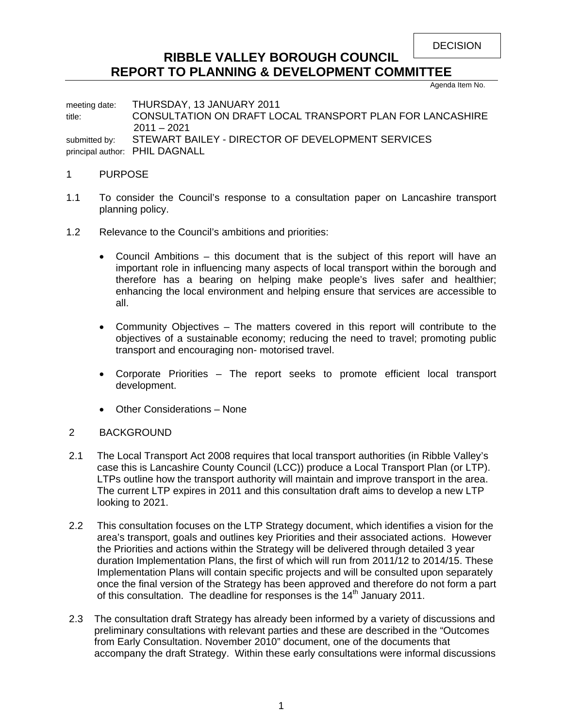```
DECISION
```
# **RIBBLE VALLEY BOROUGH COUNCIL REPORT TO PLANNING & DEVELOPMENT COMMITTEE**

Agenda Item No.

meeting date: THURSDAY, 13 JANUARY 2011 title: CONSULTATION ON DRAFT LOCAL TRANSPORT PLAN FOR LANCASHIRE 2011 – 2021 submitted by: STEWART BAILEY - DIRECTOR OF DEVELOPMENT SERVICES principal author: PHIL DAGNALL

### 1 PURPOSE

- 1.1 To consider the Council's response to a consultation paper on Lancashire transport planning policy.
- 1.2 Relevance to the Council's ambitions and priorities:
	- Council Ambitions this document that is the subject of this report will have an important role in influencing many aspects of local transport within the borough and therefore has a bearing on helping make people's lives safer and healthier; enhancing the local environment and helping ensure that services are accessible to all.
	- Community Objectives The matters covered in this report will contribute to the objectives of a sustainable economy; reducing the need to travel; promoting public transport and encouraging non- motorised travel.
	- Corporate Priorities The report seeks to promote efficient local transport development.
	- Other Considerations None

# 2 BACKGROUND

- 2.1 The Local Transport Act 2008 requires that local transport authorities (in Ribble Valley's case this is Lancashire County Council (LCC)) produce a Local Transport Plan (or LTP). LTPs outline how the transport authority will maintain and improve transport in the area. The current LTP expires in 2011 and this consultation draft aims to develop a new LTP looking to 2021.
- 2.2 This consultation focuses on the LTP Strategy document, which identifies a vision for the area's transport, goals and outlines key Priorities and their associated actions. However the Priorities and actions within the Strategy will be delivered through detailed 3 year duration Implementation Plans, the first of which will run from 2011/12 to 2014/15. These Implementation Plans will contain specific projects and will be consulted upon separately once the final version of the Strategy has been approved and therefore do not form a part of this consultation. The deadline for responses is the  $14<sup>th</sup>$  January 2011.
- 2.3 The consultation draft Strategy has already been informed by a variety of discussions and preliminary consultations with relevant parties and these are described in the "Outcomes from Early Consultation. November 2010" document, one of the documents that accompany the draft Strategy. Within these early consultations were informal discussions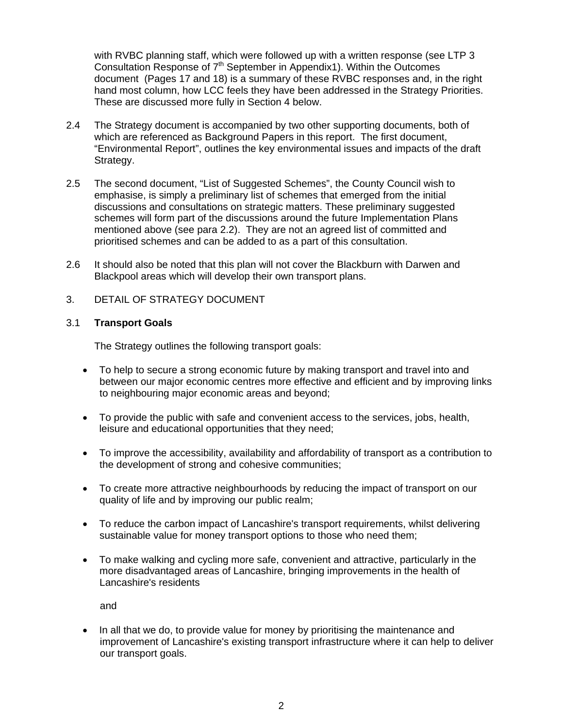with RVBC planning staff, which were followed up with a written response (see LTP 3 Consultation Response of  $7<sup>th</sup>$  September in Appendix1). Within the Outcomes document (Pages 17 and 18) is a summary of these RVBC responses and, in the right hand most column, how LCC feels they have been addressed in the Strategy Priorities. These are discussed more fully in Section 4 below.

- 2.4 The Strategy document is accompanied by two other supporting documents, both of which are referenced as Background Papers in this report. The first document, "Environmental Report", outlines the key environmental issues and impacts of the draft Strategy.
- 2.5 The second document, "List of Suggested Schemes", the County Council wish to emphasise, is simply a preliminary list of schemes that emerged from the initial discussions and consultations on strategic matters. These preliminary suggested schemes will form part of the discussions around the future Implementation Plans mentioned above (see para 2.2). They are not an agreed list of committed and prioritised schemes and can be added to as a part of this consultation.
- 2.6 It should also be noted that this plan will not cover the Blackburn with Darwen and Blackpool areas which will develop their own transport plans.
- 3. DETAIL OF STRATEGY DOCUMENT

### 3.1 **Transport Goals**

The Strategy outlines the following transport goals:

- To help to secure a strong economic future by making transport and travel into and between our major economic centres more effective and efficient and by improving links to neighbouring major economic areas and beyond;
- To provide the public with safe and convenient access to the services, jobs, health, leisure and educational opportunities that they need;
- To improve the accessibility, availability and affordability of transport as a contribution to the development of strong and cohesive communities;
- To create more attractive neighbourhoods by reducing the impact of transport on our quality of life and by improving our public realm;
- To reduce the carbon impact of Lancashire's transport requirements, whilst delivering sustainable value for money transport options to those who need them;
- To make walking and cycling more safe, convenient and attractive, particularly in the more disadvantaged areas of Lancashire, bringing improvements in the health of Lancashire's residents

and

• In all that we do, to provide value for money by prioritising the maintenance and improvement of Lancashire's existing transport infrastructure where it can help to deliver our transport goals.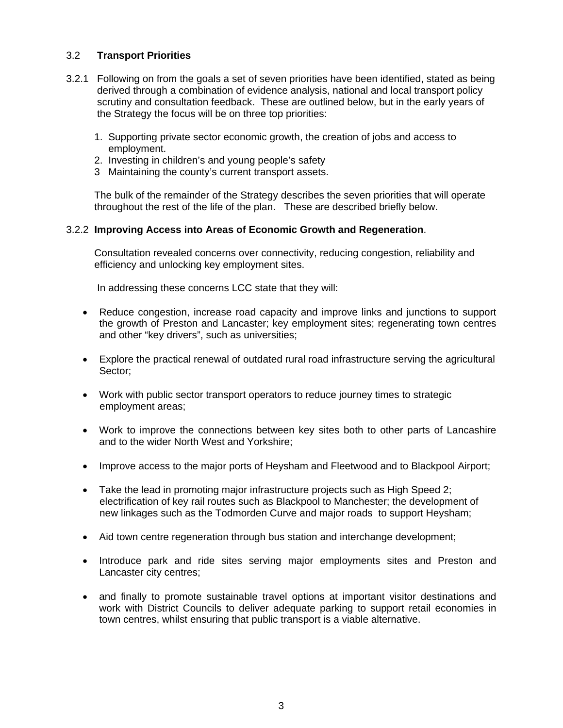# 3.2 **Transport Priorities**

- 3.2.1 Following on from the goals a set of seven priorities have been identified, stated as being derived through a combination of evidence analysis, national and local transport policy scrutiny and consultation feedback. These are outlined below, but in the early years of the Strategy the focus will be on three top priorities:
	- 1. Supporting private sector economic growth, the creation of jobs and access to employment.
	- 2. Investing in children's and young people's safety
	- 3 Maintaining the county's current transport assets.

 The bulk of the remainder of the Strategy describes the seven priorities that will operate throughout the rest of the life of the plan. These are described briefly below.

### 3.2.2 **Improving Access into Areas of Economic Growth and Regeneration**.

 Consultation revealed concerns over connectivity, reducing congestion, reliability and efficiency and unlocking key employment sites.

In addressing these concerns LCC state that they will:

- Reduce congestion, increase road capacity and improve links and junctions to support the growth of Preston and Lancaster; key employment sites; regenerating town centres and other "key drivers", such as universities;
- Explore the practical renewal of outdated rural road infrastructure serving the agricultural Sector;
- Work with public sector transport operators to reduce journey times to strategic employment areas;
- Work to improve the connections between key sites both to other parts of Lancashire and to the wider North West and Yorkshire;
- Improve access to the major ports of Heysham and Fleetwood and to Blackpool Airport;
- Take the lead in promoting major infrastructure projects such as High Speed 2; electrification of key rail routes such as Blackpool to Manchester; the development of new linkages such as the Todmorden Curve and major roads to support Heysham;
- Aid town centre regeneration through bus station and interchange development;
- Introduce park and ride sites serving major employments sites and Preston and Lancaster city centres;
- and finally to promote sustainable travel options at important visitor destinations and work with District Councils to deliver adequate parking to support retail economies in town centres, whilst ensuring that public transport is a viable alternative.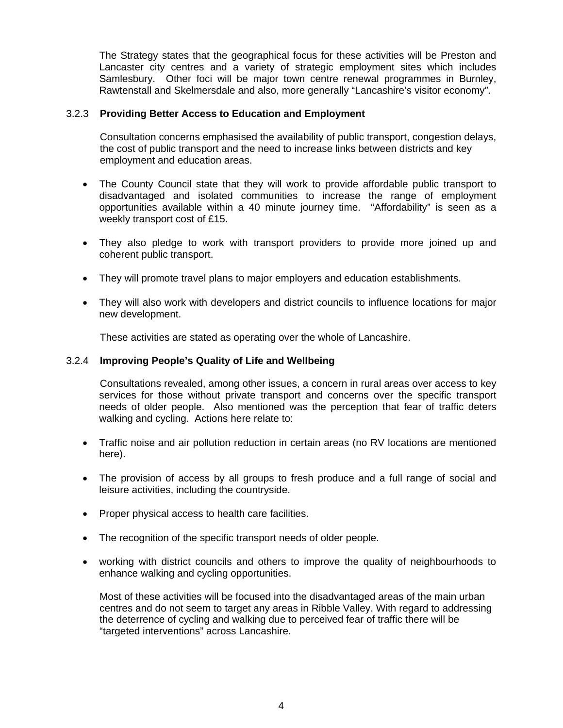The Strategy states that the geographical focus for these activities will be Preston and Lancaster city centres and a variety of strategic employment sites which includes Samlesbury. Other foci will be major town centre renewal programmes in Burnley, Rawtenstall and Skelmersdale and also, more generally "Lancashire's visitor economy".

### 3.2.3 **Providing Better Access to Education and Employment**

 Consultation concerns emphasised the availability of public transport, congestion delays, the cost of public transport and the need to increase links between districts and key employment and education areas.

- The County Council state that they will work to provide affordable public transport to disadvantaged and isolated communities to increase the range of employment opportunities available within a 40 minute journey time. "Affordability" is seen as a weekly transport cost of £15.
- They also pledge to work with transport providers to provide more joined up and coherent public transport.
- They will promote travel plans to major employers and education establishments.
- They will also work with developers and district councils to influence locations for major new development.

These activities are stated as operating over the whole of Lancashire.

#### 3.2.4 **Improving People's Quality of Life and Wellbeing**

 Consultations revealed, among other issues, a concern in rural areas over access to key services for those without private transport and concerns over the specific transport needs of older people. Also mentioned was the perception that fear of traffic deters walking and cycling. Actions here relate to:

- Traffic noise and air pollution reduction in certain areas (no RV locations are mentioned here).
- The provision of access by all groups to fresh produce and a full range of social and leisure activities, including the countryside.
- Proper physical access to health care facilities.
- The recognition of the specific transport needs of older people.
- working with district councils and others to improve the quality of neighbourhoods to enhance walking and cycling opportunities.

 Most of these activities will be focused into the disadvantaged areas of the main urban centres and do not seem to target any areas in Ribble Valley. With regard to addressing the deterrence of cycling and walking due to perceived fear of traffic there will be "targeted interventions" across Lancashire.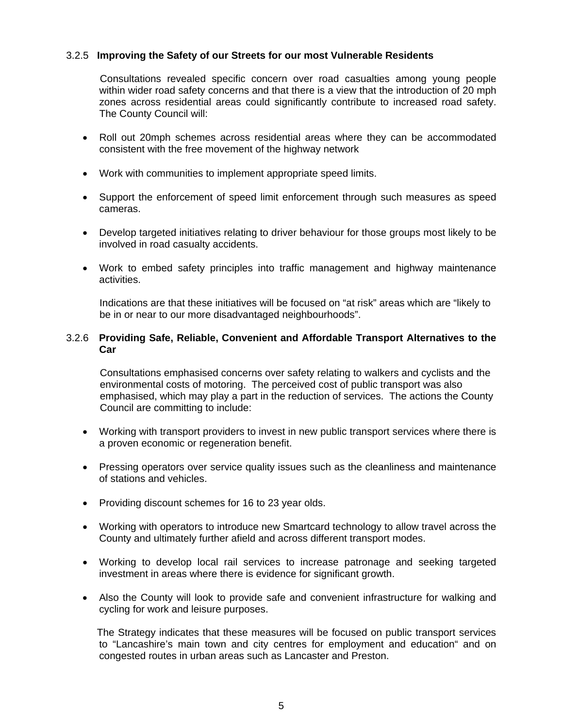### 3.2.5 **Improving the Safety of our Streets for our most Vulnerable Residents**

 Consultations revealed specific concern over road casualties among young people within wider road safety concerns and that there is a view that the introduction of 20 mph zones across residential areas could significantly contribute to increased road safety. The County Council will:

- Roll out 20mph schemes across residential areas where they can be accommodated consistent with the free movement of the highway network
- Work with communities to implement appropriate speed limits.
- Support the enforcement of speed limit enforcement through such measures as speed cameras.
- Develop targeted initiatives relating to driver behaviour for those groups most likely to be involved in road casualty accidents.
- Work to embed safety principles into traffic management and highway maintenance activities.

 Indications are that these initiatives will be focused on "at risk" areas which are "likely to be in or near to our more disadvantaged neighbourhoods".

#### 3.2.6 **Providing Safe, Reliable, Convenient and Affordable Transport Alternatives to the Car**

 Consultations emphasised concerns over safety relating to walkers and cyclists and the environmental costs of motoring. The perceived cost of public transport was also emphasised, which may play a part in the reduction of services. The actions the County Council are committing to include:

- Working with transport providers to invest in new public transport services where there is a proven economic or regeneration benefit.
- Pressing operators over service quality issues such as the cleanliness and maintenance of stations and vehicles.
- Providing discount schemes for 16 to 23 year olds.
- Working with operators to introduce new Smartcard technology to allow travel across the County and ultimately further afield and across different transport modes.
- Working to develop local rail services to increase patronage and seeking targeted investment in areas where there is evidence for significant growth.
- Also the County will look to provide safe and convenient infrastructure for walking and cycling for work and leisure purposes.

 The Strategy indicates that these measures will be focused on public transport services to "Lancashire's main town and city centres for employment and education" and on congested routes in urban areas such as Lancaster and Preston.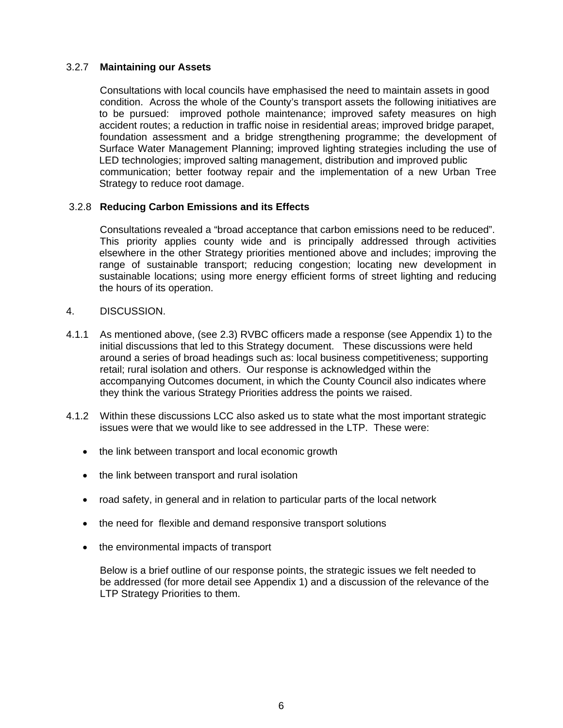# 3.2.7 **Maintaining our Assets**

 Consultations with local councils have emphasised the need to maintain assets in good condition. Across the whole of the County's transport assets the following initiatives are to be pursued: improved pothole maintenance; improved safety measures on high accident routes; a reduction in traffic noise in residential areas; improved bridge parapet, foundation assessment and a bridge strengthening programme; the development of Surface Water Management Planning; improved lighting strategies including the use of LED technologies; improved salting management, distribution and improved public communication; better footway repair and the implementation of a new Urban Tree Strategy to reduce root damage.

### 3.2.8 **Reducing Carbon Emissions and its Effects**

 Consultations revealed a "broad acceptance that carbon emissions need to be reduced". This priority applies county wide and is principally addressed through activities elsewhere in the other Strategy priorities mentioned above and includes; improving the range of sustainable transport; reducing congestion; locating new development in sustainable locations; using more energy efficient forms of street lighting and reducing the hours of its operation.

- 4. DISCUSSION.
- 4.1.1 As mentioned above, (see 2.3) RVBC officers made a response (see Appendix 1) to the initial discussions that led to this Strategy document. These discussions were held around a series of broad headings such as: local business competitiveness; supporting retail; rural isolation and others. Our response is acknowledged within the accompanying Outcomes document, in which the County Council also indicates where they think the various Strategy Priorities address the points we raised.
- 4.1.2 Within these discussions LCC also asked us to state what the most important strategic issues were that we would like to see addressed in the LTP. These were:
	- the link between transport and local economic growth
	- the link between transport and rural isolation
	- road safety, in general and in relation to particular parts of the local network
	- the need for flexible and demand responsive transport solutions
	- the environmental impacts of transport

 Below is a brief outline of our response points, the strategic issues we felt needed to be addressed (for more detail see Appendix 1) and a discussion of the relevance of the LTP Strategy Priorities to them.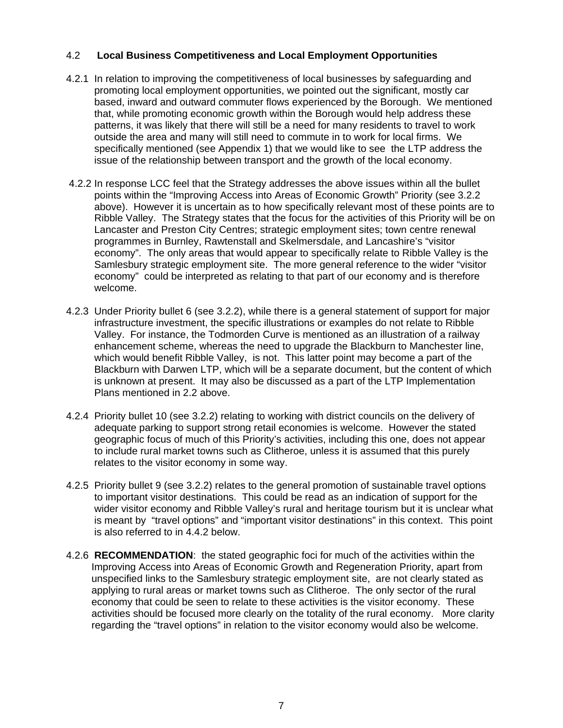# 4.2 **Local Business Competitiveness and Local Employment Opportunities**

- 4.2.1 In relation to improving the competitiveness of local businesses by safeguarding and promoting local employment opportunities, we pointed out the significant, mostly car based, inward and outward commuter flows experienced by the Borough. We mentioned that, while promoting economic growth within the Borough would help address these patterns, it was likely that there will still be a need for many residents to travel to work outside the area and many will still need to commute in to work for local firms. We specifically mentioned (see Appendix 1) that we would like to see the LTP address the issue of the relationship between transport and the growth of the local economy.
- 4.2.2 In response LCC feel that the Strategy addresses the above issues within all the bullet points within the "Improving Access into Areas of Economic Growth" Priority (see 3.2.2 above). However it is uncertain as to how specifically relevant most of these points are to Ribble Valley. The Strategy states that the focus for the activities of this Priority will be on Lancaster and Preston City Centres; strategic employment sites; town centre renewal programmes in Burnley, Rawtenstall and Skelmersdale, and Lancashire's "visitor economy". The only areas that would appear to specifically relate to Ribble Valley is the Samlesbury strategic employment site. The more general reference to the wider "visitor economy" could be interpreted as relating to that part of our economy and is therefore welcome.
- 4.2.3 Under Priority bullet 6 (see 3.2.2), while there is a general statement of support for major infrastructure investment, the specific illustrations or examples do not relate to Ribble Valley. For instance, the Todmorden Curve is mentioned as an illustration of a railway enhancement scheme, whereas the need to upgrade the Blackburn to Manchester line, which would benefit Ribble Valley, is not. This latter point may become a part of the Blackburn with Darwen LTP, which will be a separate document, but the content of which is unknown at present. It may also be discussed as a part of the LTP Implementation Plans mentioned in 2.2 above.
- 4.2.4 Priority bullet 10 (see 3.2.2) relating to working with district councils on the delivery of adequate parking to support strong retail economies is welcome. However the stated geographic focus of much of this Priority's activities, including this one, does not appear to include rural market towns such as Clitheroe, unless it is assumed that this purely relates to the visitor economy in some way.
- 4.2.5 Priority bullet 9 (see 3.2.2) relates to the general promotion of sustainable travel options to important visitor destinations. This could be read as an indication of support for the wider visitor economy and Ribble Valley's rural and heritage tourism but it is unclear what is meant by "travel options" and "important visitor destinations" in this context. This point is also referred to in 4.4.2 below.
- 4.2.6 **RECOMMENDATION**: the stated geographic foci for much of the activities within the Improving Access into Areas of Economic Growth and Regeneration Priority, apart from unspecified links to the Samlesbury strategic employment site, are not clearly stated as applying to rural areas or market towns such as Clitheroe. The only sector of the rural economy that could be seen to relate to these activities is the visitor economy. These activities should be focused more clearly on the totality of the rural economy. More clarity regarding the "travel options" in relation to the visitor economy would also be welcome.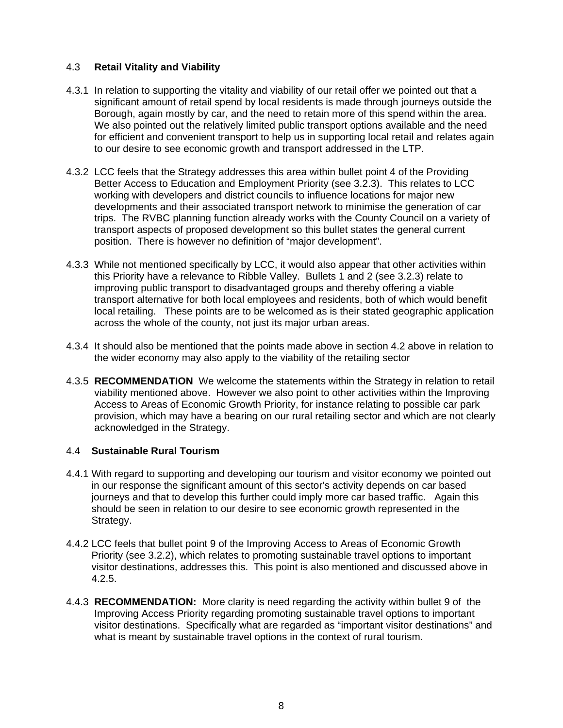# 4.3 **Retail Vitality and Viability**

- 4.3.1 In relation to supporting the vitality and viability of our retail offer we pointed out that a significant amount of retail spend by local residents is made through journeys outside the Borough, again mostly by car, and the need to retain more of this spend within the area. We also pointed out the relatively limited public transport options available and the need for efficient and convenient transport to help us in supporting local retail and relates again to our desire to see economic growth and transport addressed in the LTP.
- 4.3.2 LCC feels that the Strategy addresses this area within bullet point 4 of the Providing Better Access to Education and Employment Priority (see 3.2.3). This relates to LCC working with developers and district councils to influence locations for major new developments and their associated transport network to minimise the generation of car trips. The RVBC planning function already works with the County Council on a variety of transport aspects of proposed development so this bullet states the general current position. There is however no definition of "major development".
- 4.3.3 While not mentioned specifically by LCC, it would also appear that other activities within this Priority have a relevance to Ribble Valley. Bullets 1 and 2 (see 3.2.3) relate to improving public transport to disadvantaged groups and thereby offering a viable transport alternative for both local employees and residents, both of which would benefit local retailing. These points are to be welcomed as is their stated geographic application across the whole of the county, not just its major urban areas.
- 4.3.4 It should also be mentioned that the points made above in section 4.2 above in relation to the wider economy may also apply to the viability of the retailing sector
- 4.3.5 **RECOMMENDATION** We welcome the statements within the Strategy in relation to retail viability mentioned above. However we also point to other activities within the Improving Access to Areas of Economic Growth Priority, for instance relating to possible car park provision, which may have a bearing on our rural retailing sector and which are not clearly acknowledged in the Strategy.

# 4.4 **Sustainable Rural Tourism**

- 4.4.1 With regard to supporting and developing our tourism and visitor economy we pointed out in our response the significant amount of this sector's activity depends on car based journeys and that to develop this further could imply more car based traffic. Again this should be seen in relation to our desire to see economic growth represented in the Strategy.
- 4.4.2 LCC feels that bullet point 9 of the Improving Access to Areas of Economic Growth Priority (see 3.2.2), which relates to promoting sustainable travel options to important visitor destinations, addresses this. This point is also mentioned and discussed above in 4.2.5.
- 4.4.3 **RECOMMENDATION:** More clarity is need regarding the activity within bullet 9 of the Improving Access Priority regarding promoting sustainable travel options to important visitor destinations. Specifically what are regarded as "important visitor destinations" and what is meant by sustainable travel options in the context of rural tourism.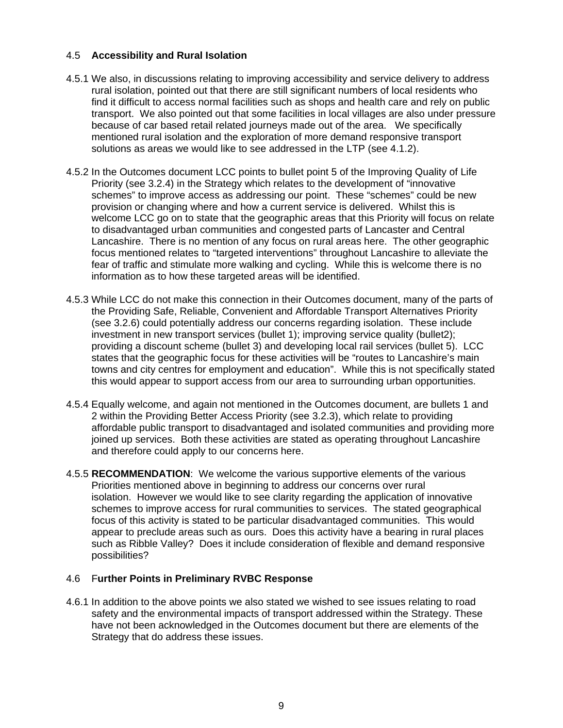# 4.5 **Accessibility and Rural Isolation**

- 4.5.1 We also, in discussions relating to improving accessibility and service delivery to address rural isolation, pointed out that there are still significant numbers of local residents who find it difficult to access normal facilities such as shops and health care and rely on public transport. We also pointed out that some facilities in local villages are also under pressure because of car based retail related journeys made out of the area. We specifically mentioned rural isolation and the exploration of more demand responsive transport solutions as areas we would like to see addressed in the LTP (see 4.1.2).
- 4.5.2 In the Outcomes document LCC points to bullet point 5 of the Improving Quality of Life Priority (see 3.2.4) in the Strategy which relates to the development of "innovative schemes" to improve access as addressing our point. These "schemes" could be new provision or changing where and how a current service is delivered. Whilst this is welcome LCC go on to state that the geographic areas that this Priority will focus on relate to disadvantaged urban communities and congested parts of Lancaster and Central Lancashire. There is no mention of any focus on rural areas here. The other geographic focus mentioned relates to "targeted interventions" throughout Lancashire to alleviate the fear of traffic and stimulate more walking and cycling. While this is welcome there is no information as to how these targeted areas will be identified.
- 4.5.3 While LCC do not make this connection in their Outcomes document, many of the parts of the Providing Safe, Reliable, Convenient and Affordable Transport Alternatives Priority (see 3.2.6) could potentially address our concerns regarding isolation. These include investment in new transport services (bullet 1); improving service quality (bullet2); providing a discount scheme (bullet 3) and developing local rail services (bullet 5). LCC states that the geographic focus for these activities will be "routes to Lancashire's main towns and city centres for employment and education". While this is not specifically stated this would appear to support access from our area to surrounding urban opportunities.
- 4.5.4 Equally welcome, and again not mentioned in the Outcomes document, are bullets 1 and 2 within the Providing Better Access Priority (see 3.2.3), which relate to providing affordable public transport to disadvantaged and isolated communities and providing more joined up services. Both these activities are stated as operating throughout Lancashire and therefore could apply to our concerns here.
- 4.5.5 **RECOMMENDATION**: We welcome the various supportive elements of the various Priorities mentioned above in beginning to address our concerns over rural isolation. However we would like to see clarity regarding the application of innovative schemes to improve access for rural communities to services. The stated geographical focus of this activity is stated to be particular disadvantaged communities. This would appear to preclude areas such as ours. Does this activity have a bearing in rural places such as Ribble Valley? Does it include consideration of flexible and demand responsive possibilities?

# 4.6 F**urther Points in Preliminary RVBC Response**

4.6.1 In addition to the above points we also stated we wished to see issues relating to road safety and the environmental impacts of transport addressed within the Strategy. These have not been acknowledged in the Outcomes document but there are elements of the Strategy that do address these issues.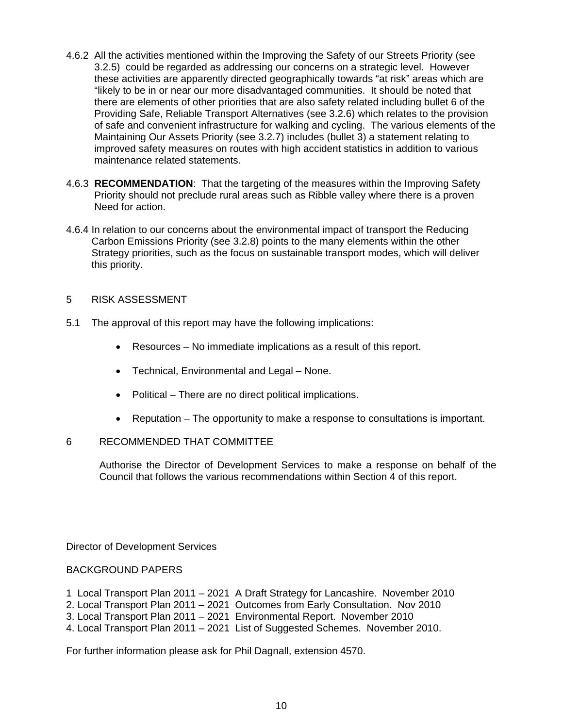- 4.6.2 All the activities mentioned within the Improving the Safety of our Streets Priority (see 3.2.5) could be regarded as addressing our concerns on a strategic level. However these activities are apparently directed geographically towards "at risk" areas which are "likely to be in or near our more disadvantaged communities. It should be noted that there are elements of other priorities that are also safety related including bullet 6 of the Providing Safe, Reliable Transport Alternatives (see 3.2.6) which relates to the provision of safe and convenient infrastructure for walking and cycling. The various elements of the Maintaining Our Assets Priority (see 3.2.7) includes (bullet 3) a statement relating to improved safety measures on routes with high accident statistics in addition to various maintenance related statements.
- 4.6.3 **RECOMMENDATION**: That the targeting of the measures within the Improving Safety Priority should not preclude rural areas such as Ribble valley where there is a proven Need for action.
- 4.6.4 In relation to our concerns about the environmental impact of transport the Reducing Carbon Emissions Priority (see 3.2.8) points to the many elements within the other Strategy priorities, such as the focus on sustainable transport modes, which will deliver this priority.

# 5 RISK ASSESSMENT

- 5.1 The approval of this report may have the following implications:
	- Resources No immediate implications as a result of this report.
	- Technical, Environmental and Legal None.
	- Political There are no direct political implications.
	- Reputation The opportunity to make a response to consultations is important.

#### 6 RECOMMENDED THAT COMMITTEE

 Authorise the Director of Development Services to make a response on behalf of the Council that follows the various recommendations within Section 4 of this report.

Director of Development Services

#### BACKGROUND PAPERS

- 1 Local Transport Plan 2011 2021 A Draft Strategy for Lancashire. November 2010
- 2. Local Transport Plan 2011 2021 Outcomes from Early Consultation. Nov 2010
- 3. Local Transport Plan 2011 2021 Environmental Report. November 2010
- 4. Local Transport Plan 2011 2021 List of Suggested Schemes. November 2010.

For further information please ask for Phil Dagnall, extension 4570.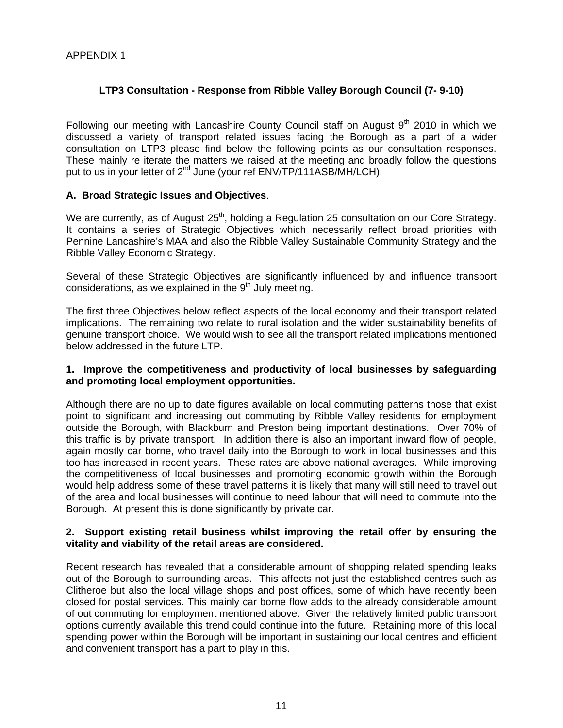# **LTP3 Consultation - Response from Ribble Valley Borough Council (7- 9-10)**

Following our meeting with Lancashire County Council staff on August  $9<sup>th</sup>$  2010 in which we discussed a variety of transport related issues facing the Borough as a part of a wider consultation on LTP3 please find below the following points as our consultation responses. These mainly re iterate the matters we raised at the meeting and broadly follow the questions put to us in your letter of 2<sup>nd</sup> June (your ref ENV/TP/111ASB/MH/LCH).

### **A. Broad Strategic Issues and Objectives**.

We are currently, as of August 25<sup>th</sup>, holding a Regulation 25 consultation on our Core Strategy. It contains a series of Strategic Objectives which necessarily reflect broad priorities with Pennine Lancashire's MAA and also the Ribble Valley Sustainable Community Strategy and the Ribble Valley Economic Strategy.

Several of these Strategic Objectives are significantly influenced by and influence transport considerations, as we explained in the  $9<sup>th</sup>$  July meeting.

The first three Objectives below reflect aspects of the local economy and their transport related implications. The remaining two relate to rural isolation and the wider sustainability benefits of genuine transport choice. We would wish to see all the transport related implications mentioned below addressed in the future LTP.

### **1. Improve the competitiveness and productivity of local businesses by safeguarding and promoting local employment opportunities.**

Although there are no up to date figures available on local commuting patterns those that exist point to significant and increasing out commuting by Ribble Valley residents for employment outside the Borough, with Blackburn and Preston being important destinations. Over 70% of this traffic is by private transport. In addition there is also an important inward flow of people, again mostly car borne, who travel daily into the Borough to work in local businesses and this too has increased in recent years. These rates are above national averages. While improving the competitiveness of local businesses and promoting economic growth within the Borough would help address some of these travel patterns it is likely that many will still need to travel out of the area and local businesses will continue to need labour that will need to commute into the Borough. At present this is done significantly by private car.

#### **2. Support existing retail business whilst improving the retail offer by ensuring the vitality and viability of the retail areas are considered.**

Recent research has revealed that a considerable amount of shopping related spending leaks out of the Borough to surrounding areas. This affects not just the established centres such as Clitheroe but also the local village shops and post offices, some of which have recently been closed for postal services. This mainly car borne flow adds to the already considerable amount of out commuting for employment mentioned above. Given the relatively limited public transport options currently available this trend could continue into the future. Retaining more of this local spending power within the Borough will be important in sustaining our local centres and efficient and convenient transport has a part to play in this.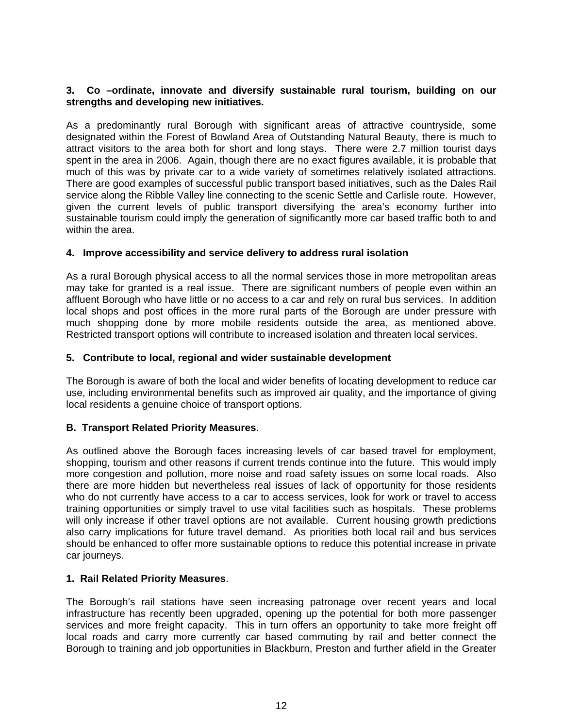### **3. Co –ordinate, innovate and diversify sustainable rural tourism, building on our strengths and developing new initiatives.**

As a predominantly rural Borough with significant areas of attractive countryside, some designated within the Forest of Bowland Area of Outstanding Natural Beauty, there is much to attract visitors to the area both for short and long stays. There were 2.7 million tourist days spent in the area in 2006. Again, though there are no exact figures available, it is probable that much of this was by private car to a wide variety of sometimes relatively isolated attractions. There are good examples of successful public transport based initiatives, such as the Dales Rail service along the Ribble Valley line connecting to the scenic Settle and Carlisle route. However, given the current levels of public transport diversifying the area's economy further into sustainable tourism could imply the generation of significantly more car based traffic both to and within the area.

# **4. Improve accessibility and service delivery to address rural isolation**

As a rural Borough physical access to all the normal services those in more metropolitan areas may take for granted is a real issue. There are significant numbers of people even within an affluent Borough who have little or no access to a car and rely on rural bus services. In addition local shops and post offices in the more rural parts of the Borough are under pressure with much shopping done by more mobile residents outside the area, as mentioned above. Restricted transport options will contribute to increased isolation and threaten local services.

#### **5. Contribute to local, regional and wider sustainable development**

The Borough is aware of both the local and wider benefits of locating development to reduce car use, including environmental benefits such as improved air quality, and the importance of giving local residents a genuine choice of transport options.

# **B. Transport Related Priority Measures**.

As outlined above the Borough faces increasing levels of car based travel for employment, shopping, tourism and other reasons if current trends continue into the future. This would imply more congestion and pollution, more noise and road safety issues on some local roads. Also there are more hidden but nevertheless real issues of lack of opportunity for those residents who do not currently have access to a car to access services, look for work or travel to access training opportunities or simply travel to use vital facilities such as hospitals. These problems will only increase if other travel options are not available. Current housing growth predictions also carry implications for future travel demand. As priorities both local rail and bus services should be enhanced to offer more sustainable options to reduce this potential increase in private car journeys.

#### **1. Rail Related Priority Measures**.

The Borough's rail stations have seen increasing patronage over recent years and local infrastructure has recently been upgraded, opening up the potential for both more passenger services and more freight capacity. This in turn offers an opportunity to take more freight off local roads and carry more currently car based commuting by rail and better connect the Borough to training and job opportunities in Blackburn, Preston and further afield in the Greater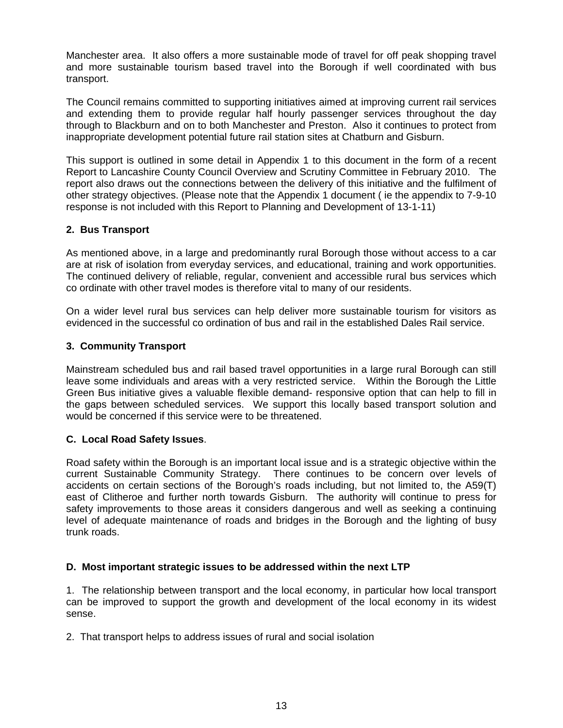Manchester area. It also offers a more sustainable mode of travel for off peak shopping travel and more sustainable tourism based travel into the Borough if well coordinated with bus transport.

The Council remains committed to supporting initiatives aimed at improving current rail services and extending them to provide regular half hourly passenger services throughout the day through to Blackburn and on to both Manchester and Preston. Also it continues to protect from inappropriate development potential future rail station sites at Chatburn and Gisburn.

This support is outlined in some detail in Appendix 1 to this document in the form of a recent Report to Lancashire County Council Overview and Scrutiny Committee in February 2010. The report also draws out the connections between the delivery of this initiative and the fulfilment of other strategy objectives. (Please note that the Appendix 1 document ( ie the appendix to 7-9-10 response is not included with this Report to Planning and Development of 13-1-11)

# **2. Bus Transport**

As mentioned above, in a large and predominantly rural Borough those without access to a car are at risk of isolation from everyday services, and educational, training and work opportunities. The continued delivery of reliable, regular, convenient and accessible rural bus services which co ordinate with other travel modes is therefore vital to many of our residents.

On a wider level rural bus services can help deliver more sustainable tourism for visitors as evidenced in the successful co ordination of bus and rail in the established Dales Rail service.

# **3. Community Transport**

Mainstream scheduled bus and rail based travel opportunities in a large rural Borough can still leave some individuals and areas with a very restricted service. Within the Borough the Little Green Bus initiative gives a valuable flexible demand- responsive option that can help to fill in the gaps between scheduled services. We support this locally based transport solution and would be concerned if this service were to be threatened.

# **C. Local Road Safety Issues**.

Road safety within the Borough is an important local issue and is a strategic objective within the current Sustainable Community Strategy. There continues to be concern over levels of accidents on certain sections of the Borough's roads including, but not limited to, the A59(T) east of Clitheroe and further north towards Gisburn. The authority will continue to press for safety improvements to those areas it considers dangerous and well as seeking a continuing level of adequate maintenance of roads and bridges in the Borough and the lighting of busy trunk roads.

# **D. Most important strategic issues to be addressed within the next LTP**

1. The relationship between transport and the local economy, in particular how local transport can be improved to support the growth and development of the local economy in its widest sense.

2. That transport helps to address issues of rural and social isolation